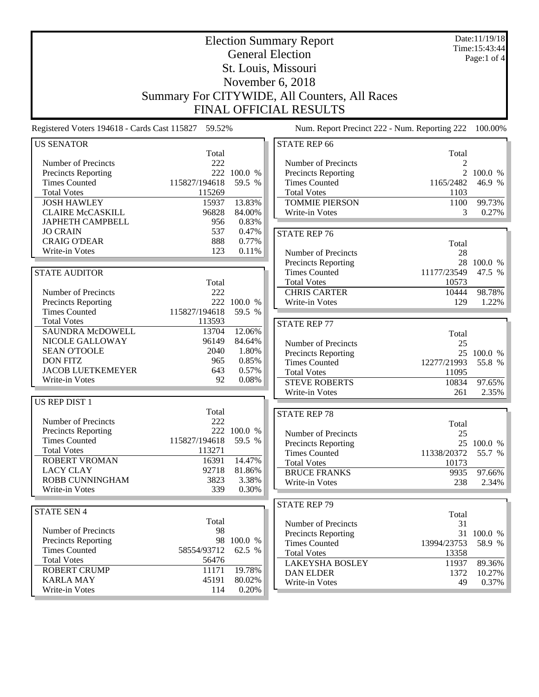| <b>Election Summary Report</b><br><b>General Election</b><br>St. Louis, Missouri<br>November 6, 2018<br>Summary For CITYWIDE, All Counters, All Races<br><b>FINAL OFFICIAL RESULTS</b> |               |                |                                            |                                               | Date:11/19/18<br>Time: 15:43:44<br>Page:1 of $4$ |
|----------------------------------------------------------------------------------------------------------------------------------------------------------------------------------------|---------------|----------------|--------------------------------------------|-----------------------------------------------|--------------------------------------------------|
| Registered Voters 194618 - Cards Cast 115827 59.52%                                                                                                                                    |               |                |                                            | Num. Report Precinct 222 - Num. Reporting 222 | 100.00%                                          |
| <b>US SENATOR</b>                                                                                                                                                                      |               |                | <b>STATE REP 66</b>                        |                                               |                                                  |
|                                                                                                                                                                                        | Total         |                |                                            | Total                                         |                                                  |
| Number of Precincts                                                                                                                                                                    | 222           |                | Number of Precincts                        | 2                                             |                                                  |
| Precincts Reporting                                                                                                                                                                    |               | 222 100.0 %    | <b>Precincts Reporting</b>                 |                                               | 2 100.0 %                                        |
| <b>Times Counted</b>                                                                                                                                                                   | 115827/194618 | 59.5 %         | <b>Times Counted</b>                       | 1165/2482                                     | 46.9 %                                           |
| <b>Total Votes</b>                                                                                                                                                                     | 115269        |                | <b>Total Votes</b>                         | 1103                                          |                                                  |
| <b>JOSH HAWLEY</b>                                                                                                                                                                     | 15937         | 13.83%         | <b>TOMMIE PIERSON</b>                      | 1100                                          | 99.73%                                           |
| <b>CLAIRE McCASKILL</b>                                                                                                                                                                | 96828         | 84.00%         | Write-in Votes                             | 3                                             | 0.27%                                            |
| <b>JAPHETH CAMPBELL</b><br><b>JO CRAIN</b>                                                                                                                                             | 956<br>537    | 0.83%<br>0.47% |                                            |                                               |                                                  |
| <b>CRAIG O'DEAR</b>                                                                                                                                                                    | 888           | 0.77%          | <b>STATE REP 76</b>                        |                                               |                                                  |
| Write-in Votes                                                                                                                                                                         | 123           | 0.11%          | Number of Precincts                        | Total<br>28                                   |                                                  |
|                                                                                                                                                                                        |               |                | Precincts Reporting                        |                                               | 28 100.0 %                                       |
| <b>STATE AUDITOR</b>                                                                                                                                                                   |               |                | <b>Times Counted</b>                       | 11177/23549                                   | 47.5 %                                           |
|                                                                                                                                                                                        | Total         |                | <b>Total Votes</b>                         | 10573                                         |                                                  |
| Number of Precincts                                                                                                                                                                    | 222           |                | <b>CHRIS CARTER</b>                        | 10444                                         | 98.78%                                           |
| Precincts Reporting                                                                                                                                                                    |               | 222 100.0 %    | Write-in Votes                             | 129                                           | 1.22%                                            |
| <b>Times Counted</b>                                                                                                                                                                   | 115827/194618 | 59.5 %         |                                            |                                               |                                                  |
| <b>Total Votes</b>                                                                                                                                                                     | 113593        |                | <b>STATE REP 77</b>                        |                                               |                                                  |
| <b>SAUNDRA McDOWELL</b>                                                                                                                                                                | 13704         | 12.06%         |                                            | Total                                         |                                                  |
| NICOLE GALLOWAY                                                                                                                                                                        | 96149         | 84.64%         | Number of Precincts                        | 25                                            |                                                  |
| <b>SEAN O'TOOLE</b>                                                                                                                                                                    | 2040          | 1.80%          | <b>Precincts Reporting</b>                 |                                               | 25 100.0 %                                       |
| <b>DON FITZ</b><br><b>JACOB LUETKEMEYER</b>                                                                                                                                            | 965           | 0.85%<br>0.57% | <b>Times Counted</b>                       | 12277/21993                                   | 55.8 %                                           |
| Write-in Votes                                                                                                                                                                         | 643<br>92     | 0.08%          | <b>Total Votes</b>                         | 11095                                         |                                                  |
|                                                                                                                                                                                        |               |                | <b>STEVE ROBERTS</b>                       | 10834                                         | 97.65%                                           |
| <b>US REP DIST 1</b>                                                                                                                                                                   |               |                | Write-in Votes                             | 261                                           | 2.35%                                            |
|                                                                                                                                                                                        | Total         |                | <b>STATE REP 78</b>                        |                                               |                                                  |
| Number of Precincts                                                                                                                                                                    | 222           |                |                                            | Total                                         |                                                  |
| <b>Precincts Reporting</b>                                                                                                                                                             |               | 222 100.0 %    | Number of Precincts                        | 25                                            |                                                  |
| <b>Times Counted</b>                                                                                                                                                                   | 115827/194618 | 59.5 %         | Precincts Reporting                        |                                               | 25 100.0 %                                       |
| <b>Total Votes</b>                                                                                                                                                                     | 113271        |                | <b>Times Counted</b>                       | 11338/20372                                   | 55.7 %                                           |
| ROBERT VROMAN                                                                                                                                                                          | 16391         | 14.47%         | <b>Total Votes</b>                         | 10173                                         |                                                  |
| <b>LACY CLAY</b>                                                                                                                                                                       | 92718         | 81.86%         | <b>BRUCE FRANKS</b>                        | 9935                                          | 97.66%                                           |
| ROBB CUNNINGHAM                                                                                                                                                                        | 3823          | 3.38%          | Write-in Votes                             | 238                                           | 2.34%                                            |
| Write-in Votes                                                                                                                                                                         | 339           | 0.30%          |                                            |                                               |                                                  |
|                                                                                                                                                                                        |               |                | <b>STATE REP 79</b>                        |                                               |                                                  |
| <b>STATE SEN 4</b>                                                                                                                                                                     | Total         |                |                                            | Total                                         |                                                  |
| Number of Precincts                                                                                                                                                                    | 98            |                | Number of Precincts                        | 31                                            |                                                  |
| <b>Precincts Reporting</b>                                                                                                                                                             |               | 98 100.0 %     | Precincts Reporting                        | 13994/23753                                   | 31 100.0 %                                       |
| <b>Times Counted</b>                                                                                                                                                                   | 58554/93712   | 62.5 %         | <b>Times Counted</b><br><b>Total Votes</b> | 13358                                         | 58.9 %                                           |
| <b>Total Votes</b>                                                                                                                                                                     | 56476         |                | <b>LAKEYSHA BOSLEY</b>                     | 11937                                         | 89.36%                                           |
| <b>ROBERT CRUMP</b>                                                                                                                                                                    | 11171         | 19.78%         | <b>DAN ELDER</b>                           | 1372                                          | 10.27%                                           |
| <b>KARLA MAY</b>                                                                                                                                                                       | 45191         | 80.02%         | Write-in Votes                             | 49                                            | 0.37%                                            |
| Write-in Votes                                                                                                                                                                         | 114           | 0.20%          |                                            |                                               |                                                  |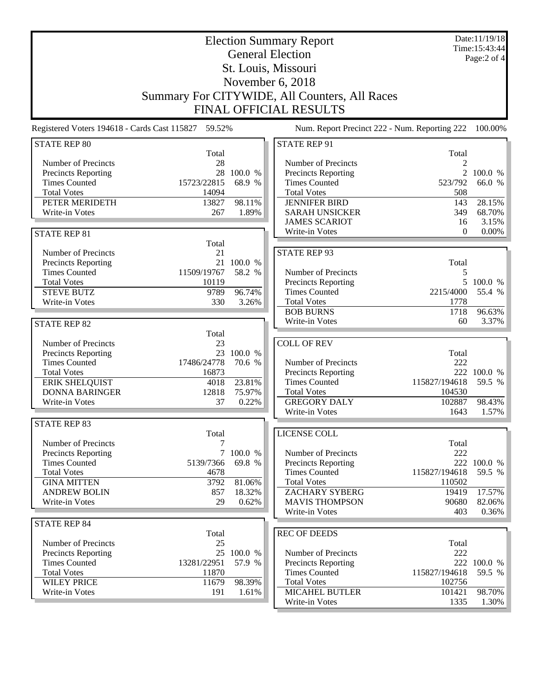| <b>Election Summary Report</b>                                             |                 |            |                                               |                | Date:11/19/18<br>Time: 15:43:44 |  |
|----------------------------------------------------------------------------|-----------------|------------|-----------------------------------------------|----------------|---------------------------------|--|
| <b>General Election</b>                                                    |                 |            |                                               |                | Page:2 of 4                     |  |
| St. Louis, Missouri                                                        |                 |            |                                               |                |                                 |  |
| November 6, 2018                                                           |                 |            |                                               |                |                                 |  |
| Summary For CITYWIDE, All Counters, All Races                              |                 |            |                                               |                |                                 |  |
|                                                                            |                 |            | <b>FINAL OFFICIAL RESULTS</b>                 |                |                                 |  |
|                                                                            |                 |            |                                               |                |                                 |  |
| Registered Voters 194618 - Cards Cast 115827 59.52%<br><b>STATE REP 80</b> |                 |            | Num. Report Precinct 222 - Num. Reporting 222 |                | 100.00%                         |  |
|                                                                            | Total           |            | <b>STATE REP 91</b>                           | Total          |                                 |  |
| Number of Precincts                                                        | 28              |            | Number of Precincts                           | 2              |                                 |  |
| <b>Precincts Reporting</b>                                                 |                 | 28 100.0 % | Precincts Reporting                           | $\overline{2}$ | 100.0 %                         |  |
| <b>Times Counted</b>                                                       | 15723/22815     | 68.9 %     | <b>Times Counted</b>                          | 523/792        | 66.0 %                          |  |
| <b>Total Votes</b>                                                         | 14094           |            | <b>Total Votes</b>                            | 508            |                                 |  |
| PETER MERIDETH                                                             | 13827           | 98.11%     | <b>JENNIFER BIRD</b>                          | 143            | 28.15%                          |  |
| Write-in Votes                                                             | 267             | 1.89%      | <b>SARAH UNSICKER</b>                         | 349            | 68.70%                          |  |
| <b>STATE REP 81</b>                                                        |                 |            | <b>JAMES SCARIOT</b><br>Write-in Votes        | 16<br>$\Omega$ | 3.15%<br>$0.00\%$               |  |
|                                                                            | Total           |            |                                               |                |                                 |  |
| Number of Precincts                                                        | 21              |            | <b>STATE REP 93</b>                           |                |                                 |  |
| <b>Precincts Reporting</b>                                                 |                 | 21 100.0 % |                                               | Total          |                                 |  |
| <b>Times Counted</b>                                                       | 11509/19767     | 58.2 %     | Number of Precincts                           | 5              |                                 |  |
| <b>Total Votes</b>                                                         | 10119           |            | <b>Precincts Reporting</b>                    | 5              | 100.0 %                         |  |
| <b>STEVE BUTZ</b>                                                          | 9789            | 96.74%     | <b>Times Counted</b>                          | 2215/4000      | 55.4 %                          |  |
| Write-in Votes                                                             | 330             | 3.26%      | <b>Total Votes</b><br><b>BOB BURNS</b>        | 1778<br>1718   |                                 |  |
|                                                                            |                 |            | Write-in Votes                                | 60             | 96.63%<br>3.37%                 |  |
| <b>STATE REP 82</b>                                                        | Total           |            |                                               |                |                                 |  |
| Number of Precincts                                                        | 23              |            | <b>COLL OF REV</b>                            |                |                                 |  |
| Precincts Reporting                                                        |                 | 23 100.0 % |                                               | Total          |                                 |  |
| <b>Times Counted</b>                                                       | 17486/24778     | 70.6 %     | Number of Precincts                           | 222            |                                 |  |
| <b>Total Votes</b>                                                         | 16873           |            | Precincts Reporting                           |                | 222 100.0 %                     |  |
| <b>ERIK SHELQUIST</b>                                                      | 4018            | 23.81%     | <b>Times Counted</b>                          | 115827/194618  | 59.5 %                          |  |
| <b>DONNA BARINGER</b>                                                      | 12818           | 75.97%     | <b>Total Votes</b>                            | 104530         |                                 |  |
| Write-in Votes                                                             | 37              | 0.22%      | <b>GREGORY DALY</b>                           | 102887         | 98.43%                          |  |
|                                                                            |                 |            | Write-in Votes                                | 1643           | 1.57%                           |  |
| <b>STATE REP 83</b>                                                        | Total           |            | LICENSE COLL                                  |                |                                 |  |
| Number of Precincts                                                        |                 |            |                                               | Total          |                                 |  |
| <b>Precincts Reporting</b>                                                 | $7\overline{ }$ | 100.0 %    | Number of Precincts                           | 222            |                                 |  |
| <b>Times Counted</b>                                                       | 5139/7366       | 69.8 %     | Precincts Reporting                           | 222            | 100.0 %                         |  |
| <b>Total Votes</b>                                                         | 4678            |            | <b>Times Counted</b>                          | 115827/194618  | 59.5 %                          |  |
| <b>GINA MITTEN</b>                                                         | 3792            | 81.06%     | <b>Total Votes</b>                            | 110502         |                                 |  |
| <b>ANDREW BOLIN</b>                                                        | 857             | 18.32%     | ZACHARY SYBERG                                | 19419          | 17.57%                          |  |
| <b>Write-in Votes</b>                                                      | 29              | 0.62%      | <b>MAVIS THOMPSON</b>                         | 90680          | 82.06%                          |  |
|                                                                            |                 |            | Write-in Votes                                | 403            | $0.36\%$                        |  |
| <b>STATE REP 84</b>                                                        | Total           |            | <b>REC OF DEEDS</b>                           |                |                                 |  |
| Number of Precincts                                                        | 25              |            |                                               | Total          |                                 |  |
| Precincts Reporting                                                        |                 | 25 100.0 % | Number of Precincts                           | 222            |                                 |  |
| <b>Times Counted</b>                                                       | 13281/22951     | 57.9 %     | <b>Precincts Reporting</b>                    | 222            | 100.0 %                         |  |
| <b>Total Votes</b>                                                         | 11870           |            | <b>Times Counted</b>                          | 115827/194618  | 59.5 %                          |  |
| <b>WILEY PRICE</b>                                                         | 11679           | 98.39%     | <b>Total Votes</b>                            | 102756         |                                 |  |
| Write-in Votes                                                             | 191             | 1.61%      | <b>MICAHEL BUTLER</b>                         | 101421         | 98.70%                          |  |
|                                                                            |                 |            | Write-in Votes                                | 1335           | 1.30%                           |  |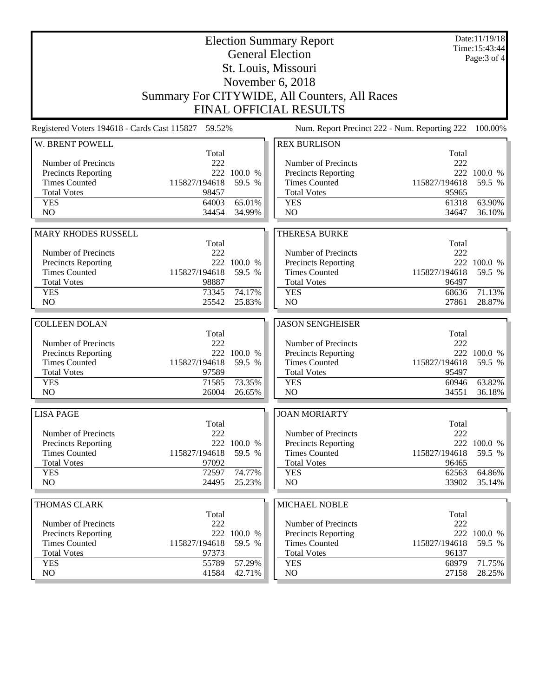| <b>General Election</b><br>Page: 3 of 4<br>St. Louis, Missouri<br>November 6, 2018<br>Summary For CITYWIDE, All Counters, All Races<br><b>FINAL OFFICIAL RESULTS</b><br>Registered Voters 194618 - Cards Cast 115827 59.52%<br>Num. Report Precinct 222 - Num. Reporting 222<br>100.00%<br>W. BRENT POWELL<br><b>REX BURLISON</b><br>Total<br>Total<br>222<br>222<br>Number of Precincts<br>Number of Precincts<br>222 100.0 %<br>222 100.0 %<br><b>Precincts Reporting</b><br><b>Precincts Reporting</b><br>115827/194618<br><b>Times Counted</b><br>59.5 %<br><b>Times Counted</b><br>115827/194618<br>59.5 %<br><b>Total Votes</b><br>98457<br><b>Total Votes</b><br>95965<br><b>YES</b><br>65.01%<br><b>YES</b><br>63.90%<br>64003<br>61318<br>NO<br>NO<br>34454<br>34.99%<br>34647<br>36.10%<br><b>MARY RHODES RUSSELL</b><br><b>THERESA BURKE</b><br>Total<br>Total<br>222<br>Number of Precincts<br>222<br>Number of Precincts<br>222 100.0 %<br>222 100.0 %<br>Precincts Reporting<br>Precincts Reporting<br><b>Times Counted</b><br>115827/194618<br>59.5 %<br><b>Times Counted</b><br>115827/194618<br>59.5 %<br><b>Total Votes</b><br><b>Total Votes</b><br>98887<br>96497<br><b>YES</b><br>74.17%<br><b>YES</b><br>71.13%<br>73345<br>68636<br>NO<br>25542<br>25.83%<br>N <sub>O</sub><br>28.87%<br>27861<br><b>COLLEEN DOLAN</b><br><b>JASON SENGHEISER</b><br>Total<br>Total<br>222<br>Number of Precincts<br>222<br>Number of Precincts<br>222 100.0 %<br>Precincts Reporting<br>Precincts Reporting<br>222 100.0 %<br>115827/194618<br><b>Times Counted</b><br><b>Times Counted</b><br>115827/194618<br>59.5 %<br>59.5 %<br>97589<br><b>Total Votes</b><br><b>Total Votes</b><br>95497<br>71585<br>73.35%<br>63.82%<br><b>YES</b><br><b>YES</b><br>60946<br>N <sub>O</sub><br>26004<br>N <sub>O</sub><br>26.65%<br>34551<br>36.18%<br><b>LISA PAGE</b><br><b>JOAN MORIARTY</b><br>Total<br>Total<br>Number of Precincts<br>222<br>Number of Precincts<br>222<br>222 100.0 %<br>Precincts Reporting<br>222 100.0 %<br>Precincts Reporting<br><b>Times Counted</b><br>115827/194618<br>59.5 %<br><b>Times Counted</b><br>115827/194618<br>59.5 %<br><b>Total Votes</b><br>97092<br><b>Total Votes</b><br>96465<br>74.77%<br>64.86%<br><b>YES</b><br>72597<br><b>YES</b><br>62563<br>NO<br>24495<br>25.23%<br>N <sub>O</sub><br>35.14%<br>33902<br>MICHAEL NOBLE<br><b>THOMAS CLARK</b><br>Total<br>Total<br>Number of Precincts<br>222<br>Number of Precincts<br>222<br>Precincts Reporting<br>222 100.0 %<br>Precincts Reporting<br>222 100.0 %<br><b>Times Counted</b><br>115827/194618<br>59.5 %<br><b>Times Counted</b><br>59.5 %<br>115827/194618<br><b>Total Votes</b><br>97373<br><b>Total Votes</b><br>96137<br><b>YES</b><br>57.29%<br>71.75%<br>55789<br><b>YES</b><br>68979<br>NO<br>NO<br>41584<br>42.71%<br>28.25%<br>27158 | <b>Election Summary Report</b> |  |  |  |  | Date:11/19/18<br>Time: 15:43:44 |  |
|--------------------------------------------------------------------------------------------------------------------------------------------------------------------------------------------------------------------------------------------------------------------------------------------------------------------------------------------------------------------------------------------------------------------------------------------------------------------------------------------------------------------------------------------------------------------------------------------------------------------------------------------------------------------------------------------------------------------------------------------------------------------------------------------------------------------------------------------------------------------------------------------------------------------------------------------------------------------------------------------------------------------------------------------------------------------------------------------------------------------------------------------------------------------------------------------------------------------------------------------------------------------------------------------------------------------------------------------------------------------------------------------------------------------------------------------------------------------------------------------------------------------------------------------------------------------------------------------------------------------------------------------------------------------------------------------------------------------------------------------------------------------------------------------------------------------------------------------------------------------------------------------------------------------------------------------------------------------------------------------------------------------------------------------------------------------------------------------------------------------------------------------------------------------------------------------------------------------------------------------------------------------------------------------------------------------------------------------------------------------------------------------------------------------------------------------------------------------------------------------------------------------------------------------------------------------------------------------------------------------------------------------------------------------------------------------------------------------------------------------------------------------------------------------------------------------------------------------------------|--------------------------------|--|--|--|--|---------------------------------|--|
|                                                                                                                                                                                                                                                                                                                                                                                                                                                                                                                                                                                                                                                                                                                                                                                                                                                                                                                                                                                                                                                                                                                                                                                                                                                                                                                                                                                                                                                                                                                                                                                                                                                                                                                                                                                                                                                                                                                                                                                                                                                                                                                                                                                                                                                                                                                                                                                                                                                                                                                                                                                                                                                                                                                                                                                                                                                        |                                |  |  |  |  |                                 |  |
|                                                                                                                                                                                                                                                                                                                                                                                                                                                                                                                                                                                                                                                                                                                                                                                                                                                                                                                                                                                                                                                                                                                                                                                                                                                                                                                                                                                                                                                                                                                                                                                                                                                                                                                                                                                                                                                                                                                                                                                                                                                                                                                                                                                                                                                                                                                                                                                                                                                                                                                                                                                                                                                                                                                                                                                                                                                        |                                |  |  |  |  |                                 |  |
|                                                                                                                                                                                                                                                                                                                                                                                                                                                                                                                                                                                                                                                                                                                                                                                                                                                                                                                                                                                                                                                                                                                                                                                                                                                                                                                                                                                                                                                                                                                                                                                                                                                                                                                                                                                                                                                                                                                                                                                                                                                                                                                                                                                                                                                                                                                                                                                                                                                                                                                                                                                                                                                                                                                                                                                                                                                        |                                |  |  |  |  |                                 |  |
|                                                                                                                                                                                                                                                                                                                                                                                                                                                                                                                                                                                                                                                                                                                                                                                                                                                                                                                                                                                                                                                                                                                                                                                                                                                                                                                                                                                                                                                                                                                                                                                                                                                                                                                                                                                                                                                                                                                                                                                                                                                                                                                                                                                                                                                                                                                                                                                                                                                                                                                                                                                                                                                                                                                                                                                                                                                        |                                |  |  |  |  |                                 |  |
|                                                                                                                                                                                                                                                                                                                                                                                                                                                                                                                                                                                                                                                                                                                                                                                                                                                                                                                                                                                                                                                                                                                                                                                                                                                                                                                                                                                                                                                                                                                                                                                                                                                                                                                                                                                                                                                                                                                                                                                                                                                                                                                                                                                                                                                                                                                                                                                                                                                                                                                                                                                                                                                                                                                                                                                                                                                        |                                |  |  |  |  |                                 |  |
|                                                                                                                                                                                                                                                                                                                                                                                                                                                                                                                                                                                                                                                                                                                                                                                                                                                                                                                                                                                                                                                                                                                                                                                                                                                                                                                                                                                                                                                                                                                                                                                                                                                                                                                                                                                                                                                                                                                                                                                                                                                                                                                                                                                                                                                                                                                                                                                                                                                                                                                                                                                                                                                                                                                                                                                                                                                        |                                |  |  |  |  |                                 |  |
|                                                                                                                                                                                                                                                                                                                                                                                                                                                                                                                                                                                                                                                                                                                                                                                                                                                                                                                                                                                                                                                                                                                                                                                                                                                                                                                                                                                                                                                                                                                                                                                                                                                                                                                                                                                                                                                                                                                                                                                                                                                                                                                                                                                                                                                                                                                                                                                                                                                                                                                                                                                                                                                                                                                                                                                                                                                        |                                |  |  |  |  |                                 |  |
|                                                                                                                                                                                                                                                                                                                                                                                                                                                                                                                                                                                                                                                                                                                                                                                                                                                                                                                                                                                                                                                                                                                                                                                                                                                                                                                                                                                                                                                                                                                                                                                                                                                                                                                                                                                                                                                                                                                                                                                                                                                                                                                                                                                                                                                                                                                                                                                                                                                                                                                                                                                                                                                                                                                                                                                                                                                        |                                |  |  |  |  |                                 |  |
|                                                                                                                                                                                                                                                                                                                                                                                                                                                                                                                                                                                                                                                                                                                                                                                                                                                                                                                                                                                                                                                                                                                                                                                                                                                                                                                                                                                                                                                                                                                                                                                                                                                                                                                                                                                                                                                                                                                                                                                                                                                                                                                                                                                                                                                                                                                                                                                                                                                                                                                                                                                                                                                                                                                                                                                                                                                        |                                |  |  |  |  |                                 |  |
|                                                                                                                                                                                                                                                                                                                                                                                                                                                                                                                                                                                                                                                                                                                                                                                                                                                                                                                                                                                                                                                                                                                                                                                                                                                                                                                                                                                                                                                                                                                                                                                                                                                                                                                                                                                                                                                                                                                                                                                                                                                                                                                                                                                                                                                                                                                                                                                                                                                                                                                                                                                                                                                                                                                                                                                                                                                        |                                |  |  |  |  |                                 |  |
|                                                                                                                                                                                                                                                                                                                                                                                                                                                                                                                                                                                                                                                                                                                                                                                                                                                                                                                                                                                                                                                                                                                                                                                                                                                                                                                                                                                                                                                                                                                                                                                                                                                                                                                                                                                                                                                                                                                                                                                                                                                                                                                                                                                                                                                                                                                                                                                                                                                                                                                                                                                                                                                                                                                                                                                                                                                        |                                |  |  |  |  |                                 |  |
|                                                                                                                                                                                                                                                                                                                                                                                                                                                                                                                                                                                                                                                                                                                                                                                                                                                                                                                                                                                                                                                                                                                                                                                                                                                                                                                                                                                                                                                                                                                                                                                                                                                                                                                                                                                                                                                                                                                                                                                                                                                                                                                                                                                                                                                                                                                                                                                                                                                                                                                                                                                                                                                                                                                                                                                                                                                        |                                |  |  |  |  |                                 |  |
|                                                                                                                                                                                                                                                                                                                                                                                                                                                                                                                                                                                                                                                                                                                                                                                                                                                                                                                                                                                                                                                                                                                                                                                                                                                                                                                                                                                                                                                                                                                                                                                                                                                                                                                                                                                                                                                                                                                                                                                                                                                                                                                                                                                                                                                                                                                                                                                                                                                                                                                                                                                                                                                                                                                                                                                                                                                        |                                |  |  |  |  |                                 |  |
|                                                                                                                                                                                                                                                                                                                                                                                                                                                                                                                                                                                                                                                                                                                                                                                                                                                                                                                                                                                                                                                                                                                                                                                                                                                                                                                                                                                                                                                                                                                                                                                                                                                                                                                                                                                                                                                                                                                                                                                                                                                                                                                                                                                                                                                                                                                                                                                                                                                                                                                                                                                                                                                                                                                                                                                                                                                        |                                |  |  |  |  |                                 |  |
|                                                                                                                                                                                                                                                                                                                                                                                                                                                                                                                                                                                                                                                                                                                                                                                                                                                                                                                                                                                                                                                                                                                                                                                                                                                                                                                                                                                                                                                                                                                                                                                                                                                                                                                                                                                                                                                                                                                                                                                                                                                                                                                                                                                                                                                                                                                                                                                                                                                                                                                                                                                                                                                                                                                                                                                                                                                        |                                |  |  |  |  |                                 |  |
|                                                                                                                                                                                                                                                                                                                                                                                                                                                                                                                                                                                                                                                                                                                                                                                                                                                                                                                                                                                                                                                                                                                                                                                                                                                                                                                                                                                                                                                                                                                                                                                                                                                                                                                                                                                                                                                                                                                                                                                                                                                                                                                                                                                                                                                                                                                                                                                                                                                                                                                                                                                                                                                                                                                                                                                                                                                        |                                |  |  |  |  |                                 |  |
|                                                                                                                                                                                                                                                                                                                                                                                                                                                                                                                                                                                                                                                                                                                                                                                                                                                                                                                                                                                                                                                                                                                                                                                                                                                                                                                                                                                                                                                                                                                                                                                                                                                                                                                                                                                                                                                                                                                                                                                                                                                                                                                                                                                                                                                                                                                                                                                                                                                                                                                                                                                                                                                                                                                                                                                                                                                        |                                |  |  |  |  |                                 |  |
|                                                                                                                                                                                                                                                                                                                                                                                                                                                                                                                                                                                                                                                                                                                                                                                                                                                                                                                                                                                                                                                                                                                                                                                                                                                                                                                                                                                                                                                                                                                                                                                                                                                                                                                                                                                                                                                                                                                                                                                                                                                                                                                                                                                                                                                                                                                                                                                                                                                                                                                                                                                                                                                                                                                                                                                                                                                        |                                |  |  |  |  |                                 |  |
|                                                                                                                                                                                                                                                                                                                                                                                                                                                                                                                                                                                                                                                                                                                                                                                                                                                                                                                                                                                                                                                                                                                                                                                                                                                                                                                                                                                                                                                                                                                                                                                                                                                                                                                                                                                                                                                                                                                                                                                                                                                                                                                                                                                                                                                                                                                                                                                                                                                                                                                                                                                                                                                                                                                                                                                                                                                        |                                |  |  |  |  |                                 |  |
|                                                                                                                                                                                                                                                                                                                                                                                                                                                                                                                                                                                                                                                                                                                                                                                                                                                                                                                                                                                                                                                                                                                                                                                                                                                                                                                                                                                                                                                                                                                                                                                                                                                                                                                                                                                                                                                                                                                                                                                                                                                                                                                                                                                                                                                                                                                                                                                                                                                                                                                                                                                                                                                                                                                                                                                                                                                        |                                |  |  |  |  |                                 |  |
|                                                                                                                                                                                                                                                                                                                                                                                                                                                                                                                                                                                                                                                                                                                                                                                                                                                                                                                                                                                                                                                                                                                                                                                                                                                                                                                                                                                                                                                                                                                                                                                                                                                                                                                                                                                                                                                                                                                                                                                                                                                                                                                                                                                                                                                                                                                                                                                                                                                                                                                                                                                                                                                                                                                                                                                                                                                        |                                |  |  |  |  |                                 |  |
|                                                                                                                                                                                                                                                                                                                                                                                                                                                                                                                                                                                                                                                                                                                                                                                                                                                                                                                                                                                                                                                                                                                                                                                                                                                                                                                                                                                                                                                                                                                                                                                                                                                                                                                                                                                                                                                                                                                                                                                                                                                                                                                                                                                                                                                                                                                                                                                                                                                                                                                                                                                                                                                                                                                                                                                                                                                        |                                |  |  |  |  |                                 |  |
|                                                                                                                                                                                                                                                                                                                                                                                                                                                                                                                                                                                                                                                                                                                                                                                                                                                                                                                                                                                                                                                                                                                                                                                                                                                                                                                                                                                                                                                                                                                                                                                                                                                                                                                                                                                                                                                                                                                                                                                                                                                                                                                                                                                                                                                                                                                                                                                                                                                                                                                                                                                                                                                                                                                                                                                                                                                        |                                |  |  |  |  |                                 |  |
|                                                                                                                                                                                                                                                                                                                                                                                                                                                                                                                                                                                                                                                                                                                                                                                                                                                                                                                                                                                                                                                                                                                                                                                                                                                                                                                                                                                                                                                                                                                                                                                                                                                                                                                                                                                                                                                                                                                                                                                                                                                                                                                                                                                                                                                                                                                                                                                                                                                                                                                                                                                                                                                                                                                                                                                                                                                        |                                |  |  |  |  |                                 |  |
|                                                                                                                                                                                                                                                                                                                                                                                                                                                                                                                                                                                                                                                                                                                                                                                                                                                                                                                                                                                                                                                                                                                                                                                                                                                                                                                                                                                                                                                                                                                                                                                                                                                                                                                                                                                                                                                                                                                                                                                                                                                                                                                                                                                                                                                                                                                                                                                                                                                                                                                                                                                                                                                                                                                                                                                                                                                        |                                |  |  |  |  |                                 |  |
|                                                                                                                                                                                                                                                                                                                                                                                                                                                                                                                                                                                                                                                                                                                                                                                                                                                                                                                                                                                                                                                                                                                                                                                                                                                                                                                                                                                                                                                                                                                                                                                                                                                                                                                                                                                                                                                                                                                                                                                                                                                                                                                                                                                                                                                                                                                                                                                                                                                                                                                                                                                                                                                                                                                                                                                                                                                        |                                |  |  |  |  |                                 |  |
|                                                                                                                                                                                                                                                                                                                                                                                                                                                                                                                                                                                                                                                                                                                                                                                                                                                                                                                                                                                                                                                                                                                                                                                                                                                                                                                                                                                                                                                                                                                                                                                                                                                                                                                                                                                                                                                                                                                                                                                                                                                                                                                                                                                                                                                                                                                                                                                                                                                                                                                                                                                                                                                                                                                                                                                                                                                        |                                |  |  |  |  |                                 |  |
|                                                                                                                                                                                                                                                                                                                                                                                                                                                                                                                                                                                                                                                                                                                                                                                                                                                                                                                                                                                                                                                                                                                                                                                                                                                                                                                                                                                                                                                                                                                                                                                                                                                                                                                                                                                                                                                                                                                                                                                                                                                                                                                                                                                                                                                                                                                                                                                                                                                                                                                                                                                                                                                                                                                                                                                                                                                        |                                |  |  |  |  |                                 |  |
|                                                                                                                                                                                                                                                                                                                                                                                                                                                                                                                                                                                                                                                                                                                                                                                                                                                                                                                                                                                                                                                                                                                                                                                                                                                                                                                                                                                                                                                                                                                                                                                                                                                                                                                                                                                                                                                                                                                                                                                                                                                                                                                                                                                                                                                                                                                                                                                                                                                                                                                                                                                                                                                                                                                                                                                                                                                        |                                |  |  |  |  |                                 |  |
|                                                                                                                                                                                                                                                                                                                                                                                                                                                                                                                                                                                                                                                                                                                                                                                                                                                                                                                                                                                                                                                                                                                                                                                                                                                                                                                                                                                                                                                                                                                                                                                                                                                                                                                                                                                                                                                                                                                                                                                                                                                                                                                                                                                                                                                                                                                                                                                                                                                                                                                                                                                                                                                                                                                                                                                                                                                        |                                |  |  |  |  |                                 |  |
|                                                                                                                                                                                                                                                                                                                                                                                                                                                                                                                                                                                                                                                                                                                                                                                                                                                                                                                                                                                                                                                                                                                                                                                                                                                                                                                                                                                                                                                                                                                                                                                                                                                                                                                                                                                                                                                                                                                                                                                                                                                                                                                                                                                                                                                                                                                                                                                                                                                                                                                                                                                                                                                                                                                                                                                                                                                        |                                |  |  |  |  |                                 |  |
|                                                                                                                                                                                                                                                                                                                                                                                                                                                                                                                                                                                                                                                                                                                                                                                                                                                                                                                                                                                                                                                                                                                                                                                                                                                                                                                                                                                                                                                                                                                                                                                                                                                                                                                                                                                                                                                                                                                                                                                                                                                                                                                                                                                                                                                                                                                                                                                                                                                                                                                                                                                                                                                                                                                                                                                                                                                        |                                |  |  |  |  |                                 |  |
|                                                                                                                                                                                                                                                                                                                                                                                                                                                                                                                                                                                                                                                                                                                                                                                                                                                                                                                                                                                                                                                                                                                                                                                                                                                                                                                                                                                                                                                                                                                                                                                                                                                                                                                                                                                                                                                                                                                                                                                                                                                                                                                                                                                                                                                                                                                                                                                                                                                                                                                                                                                                                                                                                                                                                                                                                                                        |                                |  |  |  |  |                                 |  |
|                                                                                                                                                                                                                                                                                                                                                                                                                                                                                                                                                                                                                                                                                                                                                                                                                                                                                                                                                                                                                                                                                                                                                                                                                                                                                                                                                                                                                                                                                                                                                                                                                                                                                                                                                                                                                                                                                                                                                                                                                                                                                                                                                                                                                                                                                                                                                                                                                                                                                                                                                                                                                                                                                                                                                                                                                                                        |                                |  |  |  |  |                                 |  |
|                                                                                                                                                                                                                                                                                                                                                                                                                                                                                                                                                                                                                                                                                                                                                                                                                                                                                                                                                                                                                                                                                                                                                                                                                                                                                                                                                                                                                                                                                                                                                                                                                                                                                                                                                                                                                                                                                                                                                                                                                                                                                                                                                                                                                                                                                                                                                                                                                                                                                                                                                                                                                                                                                                                                                                                                                                                        |                                |  |  |  |  |                                 |  |
|                                                                                                                                                                                                                                                                                                                                                                                                                                                                                                                                                                                                                                                                                                                                                                                                                                                                                                                                                                                                                                                                                                                                                                                                                                                                                                                                                                                                                                                                                                                                                                                                                                                                                                                                                                                                                                                                                                                                                                                                                                                                                                                                                                                                                                                                                                                                                                                                                                                                                                                                                                                                                                                                                                                                                                                                                                                        |                                |  |  |  |  |                                 |  |
|                                                                                                                                                                                                                                                                                                                                                                                                                                                                                                                                                                                                                                                                                                                                                                                                                                                                                                                                                                                                                                                                                                                                                                                                                                                                                                                                                                                                                                                                                                                                                                                                                                                                                                                                                                                                                                                                                                                                                                                                                                                                                                                                                                                                                                                                                                                                                                                                                                                                                                                                                                                                                                                                                                                                                                                                                                                        |                                |  |  |  |  |                                 |  |
|                                                                                                                                                                                                                                                                                                                                                                                                                                                                                                                                                                                                                                                                                                                                                                                                                                                                                                                                                                                                                                                                                                                                                                                                                                                                                                                                                                                                                                                                                                                                                                                                                                                                                                                                                                                                                                                                                                                                                                                                                                                                                                                                                                                                                                                                                                                                                                                                                                                                                                                                                                                                                                                                                                                                                                                                                                                        |                                |  |  |  |  |                                 |  |
|                                                                                                                                                                                                                                                                                                                                                                                                                                                                                                                                                                                                                                                                                                                                                                                                                                                                                                                                                                                                                                                                                                                                                                                                                                                                                                                                                                                                                                                                                                                                                                                                                                                                                                                                                                                                                                                                                                                                                                                                                                                                                                                                                                                                                                                                                                                                                                                                                                                                                                                                                                                                                                                                                                                                                                                                                                                        |                                |  |  |  |  |                                 |  |
|                                                                                                                                                                                                                                                                                                                                                                                                                                                                                                                                                                                                                                                                                                                                                                                                                                                                                                                                                                                                                                                                                                                                                                                                                                                                                                                                                                                                                                                                                                                                                                                                                                                                                                                                                                                                                                                                                                                                                                                                                                                                                                                                                                                                                                                                                                                                                                                                                                                                                                                                                                                                                                                                                                                                                                                                                                                        |                                |  |  |  |  |                                 |  |
|                                                                                                                                                                                                                                                                                                                                                                                                                                                                                                                                                                                                                                                                                                                                                                                                                                                                                                                                                                                                                                                                                                                                                                                                                                                                                                                                                                                                                                                                                                                                                                                                                                                                                                                                                                                                                                                                                                                                                                                                                                                                                                                                                                                                                                                                                                                                                                                                                                                                                                                                                                                                                                                                                                                                                                                                                                                        |                                |  |  |  |  |                                 |  |
|                                                                                                                                                                                                                                                                                                                                                                                                                                                                                                                                                                                                                                                                                                                                                                                                                                                                                                                                                                                                                                                                                                                                                                                                                                                                                                                                                                                                                                                                                                                                                                                                                                                                                                                                                                                                                                                                                                                                                                                                                                                                                                                                                                                                                                                                                                                                                                                                                                                                                                                                                                                                                                                                                                                                                                                                                                                        |                                |  |  |  |  |                                 |  |
|                                                                                                                                                                                                                                                                                                                                                                                                                                                                                                                                                                                                                                                                                                                                                                                                                                                                                                                                                                                                                                                                                                                                                                                                                                                                                                                                                                                                                                                                                                                                                                                                                                                                                                                                                                                                                                                                                                                                                                                                                                                                                                                                                                                                                                                                                                                                                                                                                                                                                                                                                                                                                                                                                                                                                                                                                                                        |                                |  |  |  |  |                                 |  |
|                                                                                                                                                                                                                                                                                                                                                                                                                                                                                                                                                                                                                                                                                                                                                                                                                                                                                                                                                                                                                                                                                                                                                                                                                                                                                                                                                                                                                                                                                                                                                                                                                                                                                                                                                                                                                                                                                                                                                                                                                                                                                                                                                                                                                                                                                                                                                                                                                                                                                                                                                                                                                                                                                                                                                                                                                                                        |                                |  |  |  |  |                                 |  |
|                                                                                                                                                                                                                                                                                                                                                                                                                                                                                                                                                                                                                                                                                                                                                                                                                                                                                                                                                                                                                                                                                                                                                                                                                                                                                                                                                                                                                                                                                                                                                                                                                                                                                                                                                                                                                                                                                                                                                                                                                                                                                                                                                                                                                                                                                                                                                                                                                                                                                                                                                                                                                                                                                                                                                                                                                                                        |                                |  |  |  |  |                                 |  |
|                                                                                                                                                                                                                                                                                                                                                                                                                                                                                                                                                                                                                                                                                                                                                                                                                                                                                                                                                                                                                                                                                                                                                                                                                                                                                                                                                                                                                                                                                                                                                                                                                                                                                                                                                                                                                                                                                                                                                                                                                                                                                                                                                                                                                                                                                                                                                                                                                                                                                                                                                                                                                                                                                                                                                                                                                                                        |                                |  |  |  |  |                                 |  |
|                                                                                                                                                                                                                                                                                                                                                                                                                                                                                                                                                                                                                                                                                                                                                                                                                                                                                                                                                                                                                                                                                                                                                                                                                                                                                                                                                                                                                                                                                                                                                                                                                                                                                                                                                                                                                                                                                                                                                                                                                                                                                                                                                                                                                                                                                                                                                                                                                                                                                                                                                                                                                                                                                                                                                                                                                                                        |                                |  |  |  |  |                                 |  |